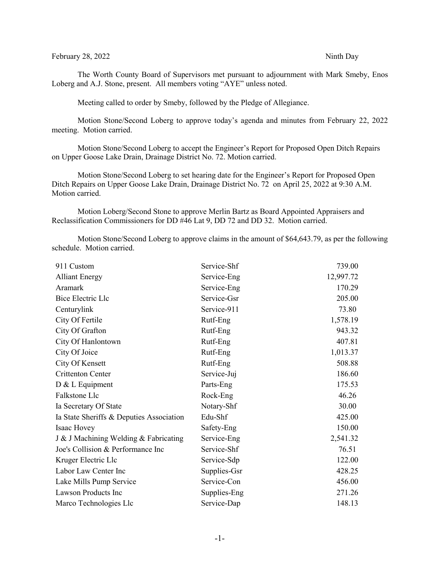#### February 28, 2022 Ninth Day

The Worth County Board of Supervisors met pursuant to adjournment with Mark Smeby, Enos Loberg and A.J. Stone, present. All members voting "AYE" unless noted.

Meeting called to order by Smeby, followed by the Pledge of Allegiance.

Motion Stone/Second Loberg to approve today's agenda and minutes from February 22, 2022 meeting. Motion carried.

Motion Stone/Second Loberg to accept the Engineer's Report for Proposed Open Ditch Repairs on Upper Goose Lake Drain, Drainage District No. 72. Motion carried.

Motion Stone/Second Loberg to set hearing date for the Engineer's Report for Proposed Open Ditch Repairs on Upper Goose Lake Drain, Drainage District No. 72 on April 25, 2022 at 9:30 A.M. Motion carried.

Motion Loberg/Second Stone to approve Merlin Bartz as Board Appointed Appraisers and Reclassification Commissioners for DD #46 Lat 9, DD 72 and DD 32. Motion carried.

Motion Stone/Second Loberg to approve claims in the amount of \$64,643.79, as per the following schedule. Motion carried.

| 911 Custom                               | Service-Shf  | 739.00    |
|------------------------------------------|--------------|-----------|
| <b>Alliant Energy</b>                    | Service-Eng  | 12,997.72 |
| Aramark                                  | Service-Eng  | 170.29    |
| Bice Electric Llc                        | Service-Gsr  | 205.00    |
| Centurylink                              | Service-911  | 73.80     |
| City Of Fertile                          | Rutf-Eng     | 1,578.19  |
| City Of Grafton                          | Rutf-Eng     | 943.32    |
| City Of Hanlontown                       | Rutf-Eng     | 407.81    |
| City Of Joice                            | Rutf-Eng     | 1,013.37  |
| City Of Kensett                          | Rutf-Eng     | 508.88    |
| <b>Crittenton Center</b>                 | Service-Juj  | 186.60    |
| D & L Equipment                          | Parts-Eng    | 175.53    |
| Falkstone Llc                            | Rock-Eng     | 46.26     |
| Ia Secretary Of State                    | Notary-Shf   | 30.00     |
| Ia State Sheriffs & Deputies Association | Edu-Shf      | 425.00    |
| Isaac Hovey                              | Safety-Eng   | 150.00    |
| J & J Machining Welding & Fabricating    | Service-Eng  | 2,541.32  |
| Joe's Collision & Performance Inc        | Service-Shf  | 76.51     |
| Kruger Electric Llc                      | Service-Sdp  | 122.00    |
| Labor Law Center Inc                     | Supplies-Gsr | 428.25    |
| Lake Mills Pump Service                  | Service-Con  | 456.00    |
| Lawson Products Inc                      | Supplies-Eng | 271.26    |
| Marco Technologies Llc                   | Service-Dap  | 148.13    |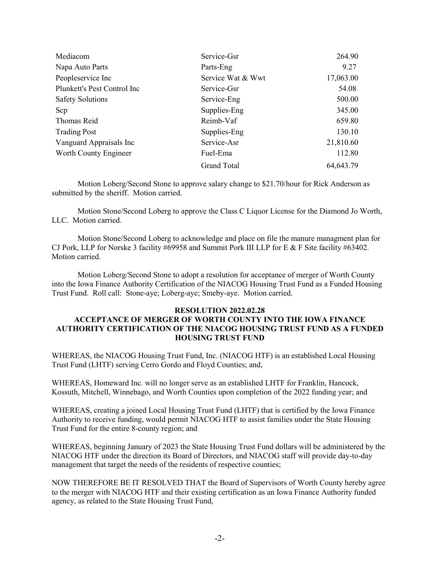| Mediacom                    | Service-Gsr        | 264.90      |
|-----------------------------|--------------------|-------------|
| Napa Auto Parts             | Parts-Eng          | 9.27        |
| Peopleservice Inc           | Service Wat & Wwt  | 17,063.00   |
| Plunkett's Pest Control Inc | Service-Gsr        | 54.08       |
| <b>Safety Solutions</b>     | Service-Eng        | 500.00      |
| Scp                         | Supplies-Eng       | 345.00      |
| Thomas Reid                 | Reimb-Vaf          | 659.80      |
| <b>Trading Post</b>         | Supplies-Eng       | 130.10      |
| Vanguard Appraisals Inc     | Service-Asr        | 21,810.60   |
| Worth County Engineer       | Fuel-Ema           | 112.80      |
|                             | <b>Grand Total</b> | 64, 643. 79 |

Motion Loberg/Second Stone to approve salary change to \$21.70/hour for Rick Anderson as submitted by the sheriff. Motion carried.

Motion Stone/Second Loberg to approve the Class C Liquor License for the Diamond Jo Worth, LLC. Motion carried.

Motion Stone/Second Loberg to acknowledge and place on file the manure managment plan for CJ Pork, LLP for Norske 3 facility #69958 and Summit Pork III LLP for E & F Site facility #63402. Motion carried.

Motion Loberg/Second Stone to adopt a resolution for acceptance of merger of Worth County into the Iowa Finance Authority Certification of the NIACOG Housing Trust Fund as a Funded Housing Trust Fund. Roll call: Stone-aye; Loberg-aye; Smeby-aye. Motion carried.

## **RESOLUTION 2022.02.28 ACCEPTANCE OF MERGER OF WORTH COUNTY INTO THE IOWA FINANCE AUTHORITY CERTIFICATION OF THE NIACOG HOUSING TRUST FUND AS A FUNDED HOUSING TRUST FUND**

WHEREAS, the NIACOG Housing Trust Fund, Inc. (NIACOG HTF) is an established Local Housing Trust Fund (LHTF) serving Cerro Gordo and Floyd Counties; and,

WHEREAS, Homeward Inc. will no longer serve as an established LHTF for Franklin, Hancock, Kossuth, Mitchell, Winnebago, and Worth Counties upon completion of the 2022 funding year; and

WHEREAS, creating a joined Local Housing Trust Fund (LHTF) that is certified by the Iowa Finance Authority to receive funding, would permit NIACOG HTF to assist families under the State Housing Trust Fund for the entire 8-county region; and

WHEREAS, beginning January of 2023 the State Housing Trust Fund dollars will be administered by the NIACOG HTF under the direction its Board of Directors, and NIACOG staff will provide day-to-day management that target the needs of the residents of respective counties;

NOW THEREFORE BE IT RESOLVED THAT the Board of Supervisors of Worth County hereby agree to the merger with NIACOG HTF and their existing certification as an Iowa Finance Authority funded agency, as related to the State Housing Trust Fund,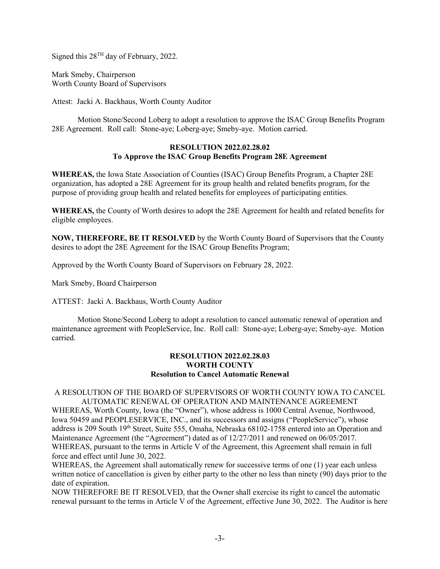Signed this 28TH day of February, 2022.

Mark Smeby, Chairperson Worth County Board of Supervisors

Attest: Jacki A. Backhaus, Worth County Auditor

Motion Stone/Second Loberg to adopt a resolution to approve the ISAC Group Benefits Program 28E Agreement. Roll call: Stone-aye; Loberg-aye; Smeby-aye. Motion carried.

# **RESOLUTION 2022.02.28.02 To Approve the ISAC Group Benefits Program 28E Agreement**

**WHEREAS,** the Iowa State Association of Counties (ISAC) Group Benefits Program, a Chapter 28E organization, has adopted a 28E Agreement for its group health and related benefits program, for the purpose of providing group health and related benefits for employees of participating entities.

**WHEREAS,** the County of Worth desires to adopt the 28E Agreement for health and related benefits for eligible employees.

**NOW, THEREFORE, BE IT RESOLVED** by the Worth County Board of Supervisors that the County desires to adopt the 28E Agreement for the ISAC Group Benefits Program;

Approved by the Worth County Board of Supervisors on February 28, 2022.

Mark Smeby, Board Chairperson

ATTEST: Jacki A. Backhaus, Worth County Auditor

Motion Stone/Second Loberg to adopt a resolution to cancel automatic renewal of operation and maintenance agreement with PeopleService, Inc. Roll call: Stone-aye; Loberg-aye; Smeby-aye. Motion carried.

## **RESOLUTION 2022.02.28.03 WORTH COUNTY Resolution to Cancel Automatic Renewal**

# A RESOLUTION OF THE BOARD OF SUPERVISORS OF WORTH COUNTY IOWA TO CANCEL AUTOMATIC RENEWAL OF OPERATION AND MAINTENANCE AGREEMENT

WHEREAS, Worth County, Iowa (the "Owner"), whose address is 1000 Central Avenue, Northwood, Iowa 50459 and PEOPLESERVICE, INC., and its successors and assigns ("PeopleService"), whose address is 209 South 19<sup>th</sup> Street, Suite 555, Omaha, Nebraska 68102-1758 entered into an Operation and Maintenance Agreement (the "Agreement") dated as of 12/27/2011 and renewed on 06/05/2017. WHEREAS, pursuant to the terms in Article V of the Agreement, this Agreement shall remain in full force and effect until June 30, 2022.

WHEREAS, the Agreement shall automatically renew for successive terms of one (1) year each unless written notice of cancellation is given by either party to the other no less than ninety (90) days prior to the date of expiration.

NOW THEREFORE BE IT RESOLVED, that the Owner shall exercise its right to cancel the automatic renewal pursuant to the terms in Article V of the Agreement, effective June 30, 2022. The Auditor is here